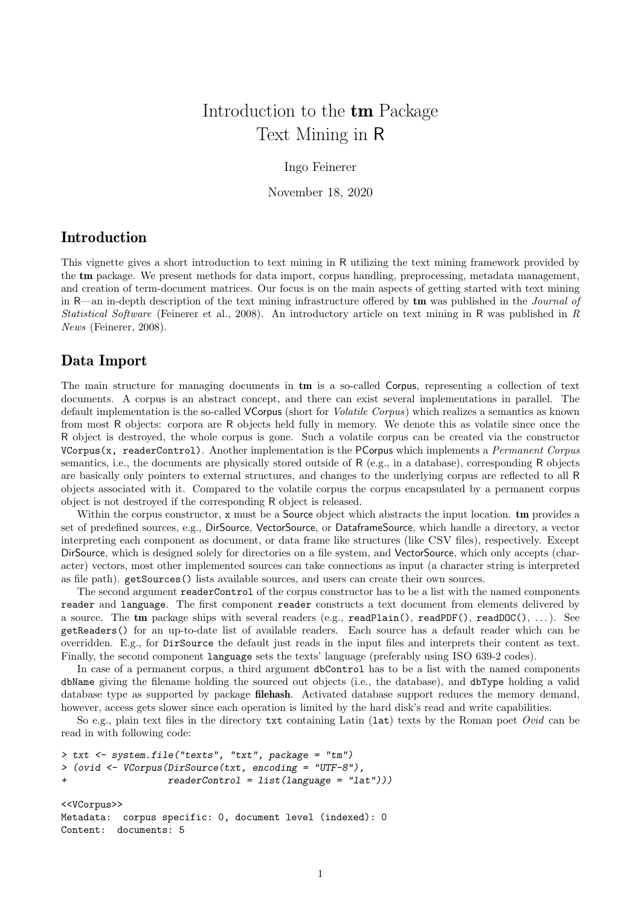# Introduction to the tm Package Text Mining in R

#### Ingo Feinerer

November 18, 2020

### Introduction

This vignette gives a short introduction to text mining in R utilizing the text mining framework provided by the tm package. We present methods for data import, corpus handling, preprocessing, metadata management, and creation of term-document matrices. Our focus is on the main aspects of getting started with text mining in R—an in-depth description of the text mining infrastructure offered by tm was published in the Journal of Statistical Software (Feinerer et al., 2008). An introductory article on text mining in R was published in R News (Feinerer, 2008).

## Data Import

The main structure for managing documents in **tm** is a so-called Corpus, representing a collection of text documents. A corpus is an abstract concept, and there can exist several implementations in parallel. The default implementation is the so-called VCorpus (short for Volatile Corpus) which realizes a semantics as known from most R objects: corpora are R objects held fully in memory. We denote this as volatile since once the R object is destroyed, the whole corpus is gone. Such a volatile corpus can be created via the constructor VCorpus(x, readerControl). Another implementation is the PCorpus which implements a *Permanent Corpus* semantics, i.e., the documents are physically stored outside of R (e.g., in a database), corresponding R objects are basically only pointers to external structures, and changes to the underlying corpus are reflected to all R objects associated with it. Compared to the volatile corpus the corpus encapsulated by a permanent corpus object is not destroyed if the corresponding R object is released.

Within the corpus constructor, x must be a Source object which abstracts the input location. tm provides a set of predefined sources, e.g., DirSource, VectorSource, or DataframeSource, which handle a directory, a vector interpreting each component as document, or data frame like structures (like CSV files), respectively. Except DirSource, which is designed solely for directories on a file system, and VectorSource, which only accepts (character) vectors, most other implemented sources can take connections as input (a character string is interpreted as file path). getSources() lists available sources, and users can create their own sources.

The second argument readerControl of the corpus constructor has to be a list with the named components reader and language. The first component reader constructs a text document from elements delivered by a source. The tm package ships with several readers (e.g.,  $readPair(), readPDF(), readDOC(), ...$ ). See getReaders() for an up-to-date list of available readers. Each source has a default reader which can be overridden. E.g., for DirSource the default just reads in the input files and interprets their content as text. Finally, the second component language sets the texts' language (preferably using ISO 639-2 codes).

In case of a permanent corpus, a third argument dbControl has to be a list with the named components dbName giving the filename holding the sourced out objects (i.e., the database), and dbType holding a valid database type as supported by package **filehash**. Activated database support reduces the memory demand, however, access gets slower since each operation is limited by the hard disk's read and write capabilities.

So e.g., plain text files in the directory txt containing Latin (lat) texts by the Roman poet *Ovid* can be read in with following code:

```
> txt <- system.file("texts", "txt", package = "tm")
> (ovid <- VCorpus(DirSource(txt, encoding = "UTF-8"),
+ readerControl = list(language = "lat")))
<<VCorpus>>
Metadata: corpus specific: 0, document level (indexed): 0
Content: documents: 5
```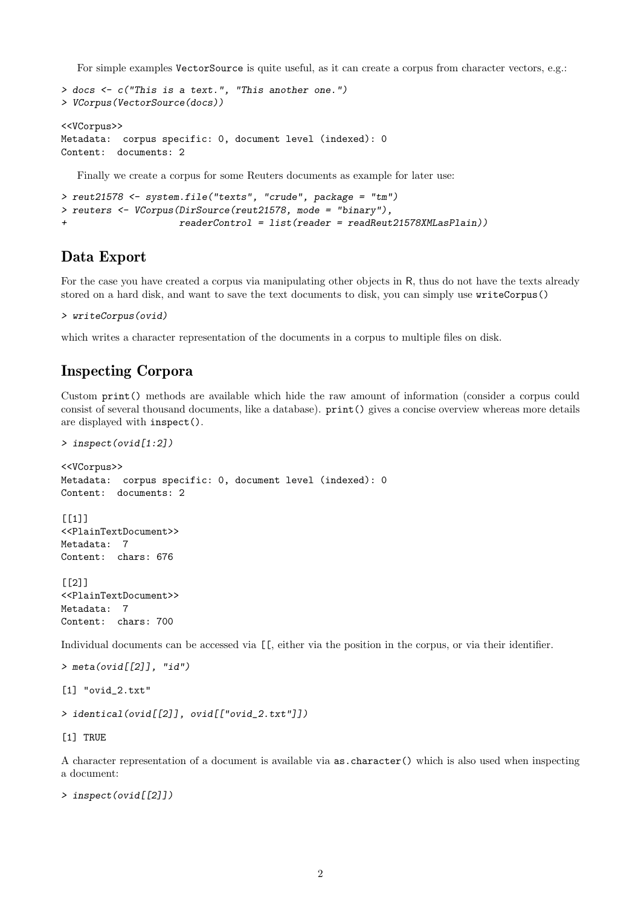For simple examples VectorSource is quite useful, as it can create a corpus from character vectors, e.g.:

```
> docs <- c("This is a text.", "This another one.")
> VCorpus(VectorSource(docs))
<<VCorpus>>
Metadata: corpus specific: 0, document level (indexed): 0
Content: documents: 2
```
Finally we create a corpus for some Reuters documents as example for later use:

```
> reut21578 <- system.file("texts", "crude", package = "tm")
> reuters <- VCorpus(DirSource(reut21578, mode = "binary"),
+ readerControl = list(reader = readReut21578XMLasPlain))
```
# Data Export

For the case you have created a corpus via manipulating other objects in R, thus do not have the texts already stored on a hard disk, and want to save the text documents to disk, you can simply use writeCorpus()

> writeCorpus(ovid)

which writes a character representation of the documents in a corpus to multiple files on disk.

## Inspecting Corpora

Custom print() methods are available which hide the raw amount of information (consider a corpus could consist of several thousand documents, like a database). print() gives a concise overview whereas more details are displayed with inspect().

```
> inspect(ovid[1:2])
```

```
<<VCorpus>>
Metadata: corpus specific: 0, document level (indexed): 0
Content: documents: 2
```

```
[[1]]
<<PlainTextDocument>>
Metadata: 7
Content: chars: 676
```
[[2]] <<PlainTextDocument>> Metadata: 7 Content: chars: 700

Individual documents can be accessed via [[, either via the position in the corpus, or via their identifier.

```
> meta(ovid[[2]], "id")
```
[1] "ovid\_2.txt"

```
> identical(ovid[[2]], ovid[["ovid_2.txt"]])
```
[1] TRUE

A character representation of a document is available via as.character() which is also used when inspecting a document:

> inspect(ovid[[2]])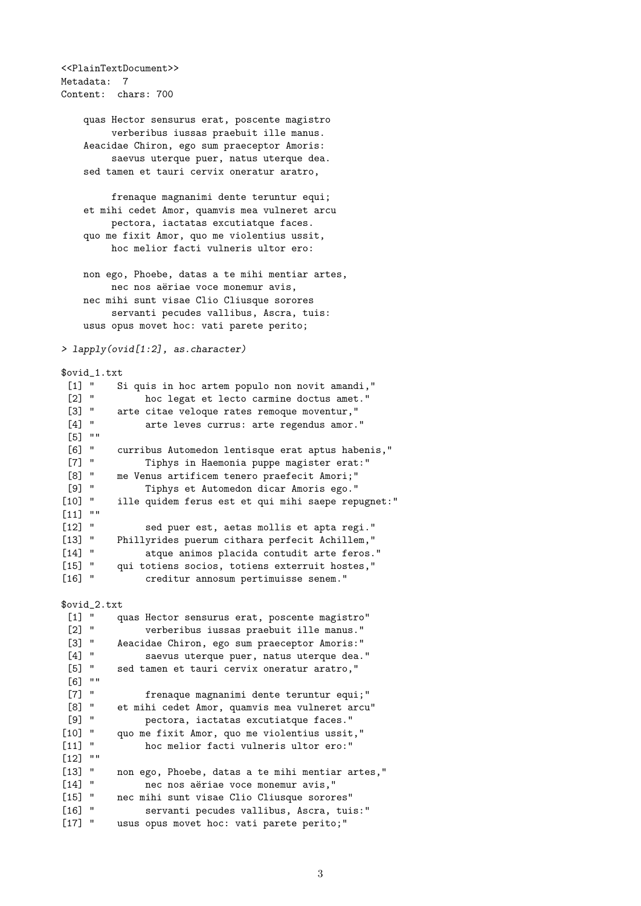<<PlainTextDocument>> Metadata: 7 Content: chars: 700

> quas Hector sensurus erat, poscente magistro verberibus iussas praebuit ille manus. Aeacidae Chiron, ego sum praeceptor Amoris: saevus uterque puer, natus uterque dea. sed tamen et tauri cervix oneratur aratro,

frenaque magnanimi dente teruntur equi; et mihi cedet Amor, quamvis mea vulneret arcu pectora, iactatas excutiatque faces. quo me fixit Amor, quo me violentius ussit, hoc melior facti vulneris ultor ero:

non ego, Phoebe, datas a te mihi mentiar artes, nec nos aëriae voce monemur avis, nec mihi sunt visae Clio Cliusque sorores servanti pecudes vallibus, Ascra, tuis: usus opus movet hoc: vati parete perito;

> lapply(ovid[1:2], as.character)

\$ovid\_1.txt

| Si quis in hoc artem populo non novit amandi,"     |
|----------------------------------------------------|
| hoc legat et lecto carmine doctus amet."           |
|                                                    |
| arte leves currus: arte regendus amor."            |
|                                                    |
| curribus Automedon lentisque erat aptus habenis,"  |
| Tiphys in Haemonia puppe magister erat:"           |
|                                                    |
|                                                    |
| ille quidem ferus est et qui mihi saepe repugnet:" |
|                                                    |
| sed puer est, aetas mollis et apta regi."          |
| Phillyrides puerum cithara perfecit Achillem,"     |
| atque animos placida contudit arte feros."         |
| qui totiens socios, totiens exterruit hostes,"     |
|                                                    |
|                                                    |

\$ovid\_2.txt

| $[1]$ "             | quas Hector sensurus erat, poscente magistro"    |
|---------------------|--------------------------------------------------|
| $\lceil 2 \rceil$ " | verberibus iussas praebuit ille manus."          |
| $\lceil 3 \rceil$ " | Aeacidae Chiron, ego sum praeceptor Amoris:"     |
| $\lceil 4 \rceil$ " | saevus uterque puer, natus uterque dea."         |
| $\lceil 5 \rceil$ " | sed tamen et tauri cervix oneratur aratro,"      |
| $[6]$ ""            |                                                  |
| $[7]$ "             | frenaque magnanimi dente teruntur equi;"         |
| [8] "               | et mihi cedet Amor, quamvis mea vulneret arcu"   |
| Г91 "               | pectora, iactatas excutiatque faces."            |
| $[10]$ "            | quo me fixit Amor, quo me violentius ussit,"     |
| $[11]$ "            | hoc melior facti vulneris ultor ero:"            |
| $[12]$ ""           |                                                  |
| $[13]$ "            | non ego, Phoebe, datas a te mihi mentiar artes," |
| $[14]$ "            | nec nos aëriae voce monemur avis,"               |
| $[15]$ "            | nec mihi sunt visae Clio Cliusque sorores"       |
| $[16]$ "            | servanti pecudes vallibus, Ascra, tuis:"         |
| $[17]$ "            | usus opus movet hoc: vati parete perito;"        |
|                     |                                                  |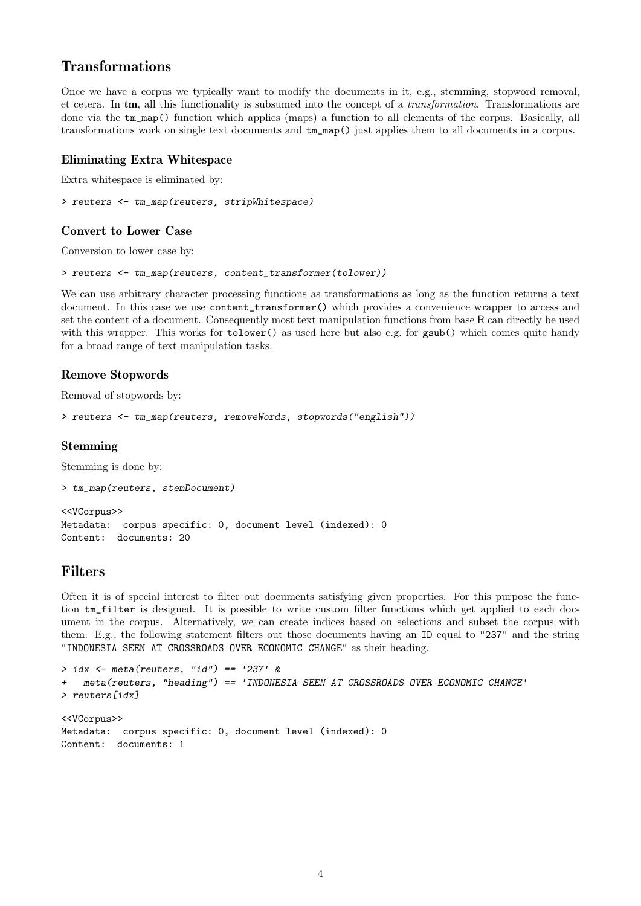# Transformations

Once we have a corpus we typically want to modify the documents in it, e.g., stemming, stopword removal, et cetera. In tm, all this functionality is subsumed into the concept of a transformation. Transformations are done via the tm\_map() function which applies (maps) a function to all elements of the corpus. Basically, all transformations work on single text documents and tm\_map() just applies them to all documents in a corpus.

#### Eliminating Extra Whitespace

Extra whitespace is eliminated by:

```
> reuters <- tm_map(reuters, stripWhitespace)
```
#### Convert to Lower Case

Conversion to lower case by:

```
> reuters <- tm_map(reuters, content_transformer(tolower))
```
We can use arbitrary character processing functions as transformations as long as the function returns a text document. In this case we use content\_transformer() which provides a convenience wrapper to access and set the content of a document. Consequently most text manipulation functions from base R can directly be used with this wrapper. This works for  $\text{tolower}()$  as used here but also e.g. for  $\text{gsub}()$  which comes quite handy for a broad range of text manipulation tasks.

### Remove Stopwords

Removal of stopwords by:

```
> reuters <- tm_map(reuters, removeWords, stopwords("english"))
```
#### Stemming

Stemming is done by:

```
> tm_map(reuters, stemDocument)
```

```
<<VCorpus>>
Metadata: corpus specific: 0, document level (indexed): 0
Content: documents: 20
```
# Filters

Often it is of special interest to filter out documents satisfying given properties. For this purpose the function tm\_filter is designed. It is possible to write custom filter functions which get applied to each document in the corpus. Alternatively, we can create indices based on selections and subset the corpus with them. E.g., the following statement filters out those documents having an ID equal to "237" and the string "INDONESIA SEEN AT CROSSROADS OVER ECONOMIC CHANGE" as their heading.

```
> idx <- meta(reuters, "id") == '237' &
+ meta(reuters, "heading") == 'INDONESIA SEEN AT CROSSROADS OVER ECONOMIC CHANGE'
> reuters[idx]
<<VCorpus>>
Metadata: corpus specific: 0, document level (indexed): 0
Content: documents: 1
```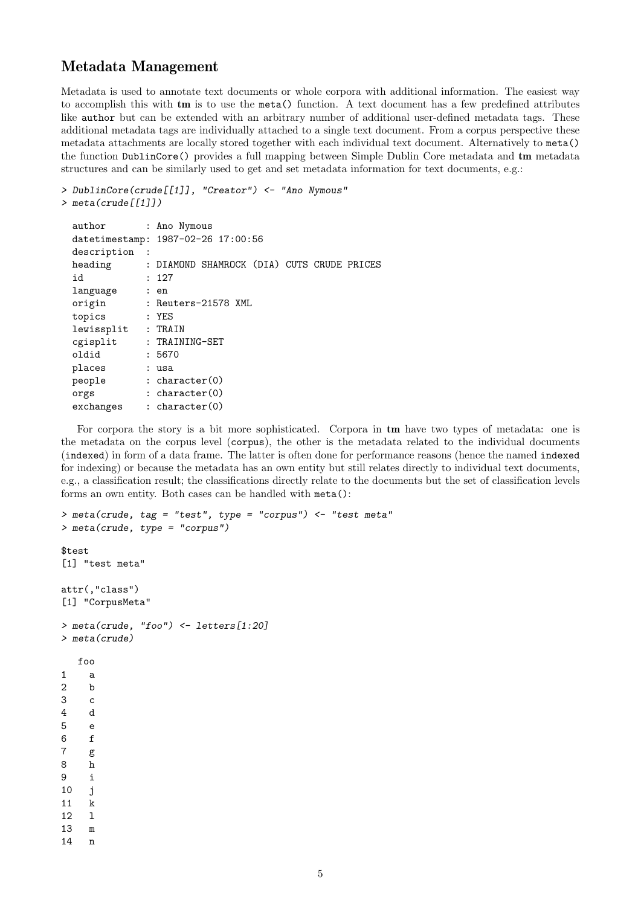### Metadata Management

Metadata is used to annotate text documents or whole corpora with additional information. The easiest way to accomplish this with tm is to use the meta() function. A text document has a few predefined attributes like author but can be extended with an arbitrary number of additional user-defined metadata tags. These additional metadata tags are individually attached to a single text document. From a corpus perspective these metadata attachments are locally stored together with each individual text document. Alternatively to meta() the function DublinCore() provides a full mapping between Simple Dublin Core metadata and tm metadata structures and can be similarly used to get and set metadata information for text documents, e.g.:

```
> DublinCore(crude[[1]], "Creator") <- "Ano Nymous"
> meta(crude[[1]])
```

```
author : Ano Nymous
datetimestamp: 1987-02-26 17:00:56
description :
heading : DIAMOND SHAMROCK (DIA) CUTS CRUDE PRICES
id : 127
language : en
origin : Reuters-21578 XML
topics : YES
lewissplit : TRAIN
cgisplit : TRAINING-SET
oldid : 5670
places : usa
people : character(0)
orgs : character(0)
exchanges : character(0)
```
For corpora the story is a bit more sophisticated. Corpora in tm have two types of metadata: one is the metadata on the corpus level (corpus), the other is the metadata related to the individual documents (indexed) in form of a data frame. The latter is often done for performance reasons (hence the named indexed for indexing) or because the metadata has an own entity but still relates directly to individual text documents, e.g., a classification result; the classifications directly relate to the documents but the set of classification levels forms an own entity. Both cases can be handled with meta():

```
> meta(crude, tag = "test", type = "corpus") \leq "test meta"
> meta(crude, type = "corpus")
$test
[1] "test meta"
attr(,"class")
[1] "CorpusMeta"
> meta(crude, "foo") \le letters[1:20]
> meta(crude)
  foo
1 a
2 b
3 c
4 d
5 e
6 f
7 g
8 h
9 i
10 j
11 k
12 l
13 m
14 n
```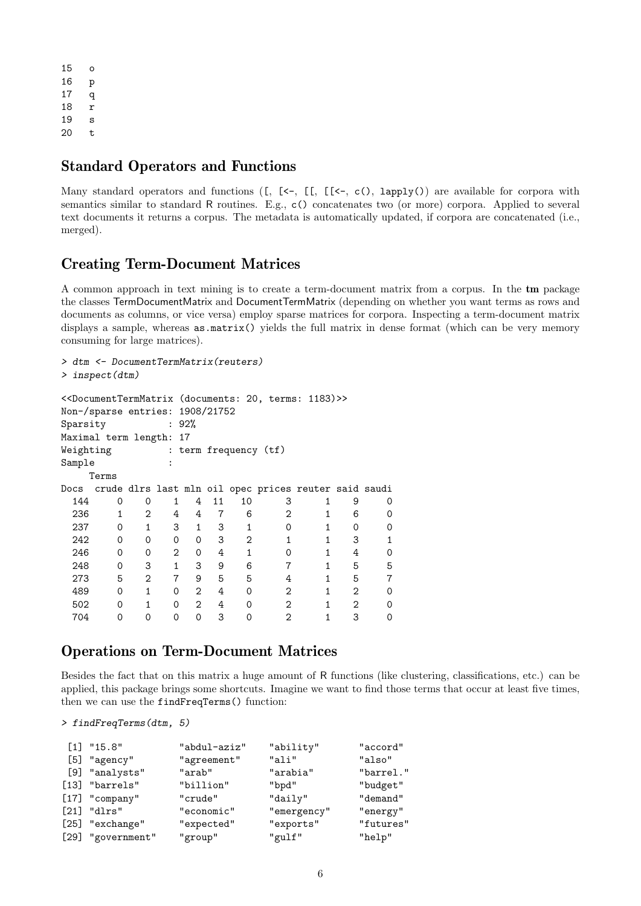```
15 o
16 p
17 q
18 r
19 s
20 t
```
# Standard Operators and Functions

Many standard operators and functions  $(I, I<-, I<sub>i</sub>, I<sub>i</sub><-), I<sub>i</sub>(0), I<sub>i</sub>(0)$  are available for corpora with semantics similar to standard R routines. E.g., c() concatenates two (or more) corpora. Applied to several text documents it returns a corpus. The metadata is automatically updated, if corpora are concatenated (i.e., merged).

# Creating Term-Document Matrices

A common approach in text mining is to create a term-document matrix from a corpus. In the tm package the classes TermDocumentMatrix and DocumentTermMatrix (depending on whether you want terms as rows and documents as columns, or vice versa) employ sparse matrices for corpora. Inspecting a term-document matrix displays a sample, whereas **as.matrix()** yields the full matrix in dense format (which can be very memory consuming for large matrices).

```
> dtm <- DocumentTermMatrix(reuters)
```

```
> inspect(dtm)
```

| Sparsity  | Non-/sparse entries: 1908/21752 |                   |                | : 92%          |    |          |                       | < <documenttermmatrix (documents:="" 1183)="" 20,="" terms:="">&gt;</documenttermmatrix> |                |   |
|-----------|---------------------------------|-------------------|----------------|----------------|----|----------|-----------------------|------------------------------------------------------------------------------------------|----------------|---|
|           | Maximal term length: 17         |                   |                |                |    |          |                       |                                                                                          |                |   |
| Weighting |                                 |                   |                |                |    |          | : term frequency (tf) |                                                                                          |                |   |
| Sample    |                                 |                   |                |                |    |          |                       |                                                                                          |                |   |
|           | Terms                           |                   |                |                |    |          |                       |                                                                                          |                |   |
|           |                                 |                   |                |                |    |          |                       | Docs crude dlrs last mln oil opec prices reuter said saudi                               |                |   |
| 144       | 0                               | $\Omega$          | 1              | 4              | 11 | 10       | 3                     |                                                                                          | 9              | 0 |
| 236       | 1                               | 2                 | 4              | 4              | 7  | 6        | 2                     |                                                                                          | 6              | 0 |
| 237       | $\Omega$                        | 1                 | 3              | 1              | 3  | 1        | 0                     | 1                                                                                        | 0              | 0 |
| 242       | $\Omega$                        | 0                 | 0              | 0              | 3  | 2        |                       | 1                                                                                        | 3              | 1 |
| 246       | $\Omega$                        | 0                 | $\overline{2}$ | 0              | 4  |          | 0                     | 1                                                                                        | 4              | 0 |
| 248       | $\Omega$                        | 3                 | 1              | 3              | 9  | 6        | 7                     | 1                                                                                        | 5              | 5 |
| 273       | 5                               | $\mathcal{D}_{1}$ | 7              | 9              | 5  | 5        | 4                     | 1                                                                                        | 5              | 7 |
| 489       | $\Omega$                        |                   | 0              | $\overline{2}$ | 4  | $\Omega$ | 2                     |                                                                                          | $\mathfrak{D}$ | 0 |
| 502       | ∩                               |                   | 0              | $\mathbf{2}$   | 4  | ∩        | 2                     |                                                                                          | 2              | 0 |
| 704       |                                 |                   | Ω              | 0              | 3  |          | 2                     |                                                                                          | 3              |   |

### Operations on Term-Document Matrices

Besides the fact that on this matrix a huge amount of R functions (like clustering, classifications, etc.) can be applied, this package brings some shortcuts. Imagine we want to find those terms that occur at least five times, then we can use the findFreqTerms() function:

#### > findFreqTerms(dtm, 5)

|     | $[1]$ "15.8"      | "abdul-aziz" | "ability"   | "accord"  |
|-----|-------------------|--------------|-------------|-----------|
| [5] | "agency"          | "agreement"  | $"a$ li"    | "also"    |
|     | [9] "analysts"    | "arab"       | "arabia"    | "barrel." |
|     | $[13]$ "barrels"  | "billion"    | "bpd"       | "budget"  |
|     | [17] "company"    | "crude"      | "daily"     | "demand"  |
|     | $[21]$ "dlrs"     | "economic"   | "emergency" | "energy"  |
|     | [25] "exchange"   | "expected"   | "exports"   | "futures" |
|     | [29] "government" | "group"      | "gulf"      | "help"    |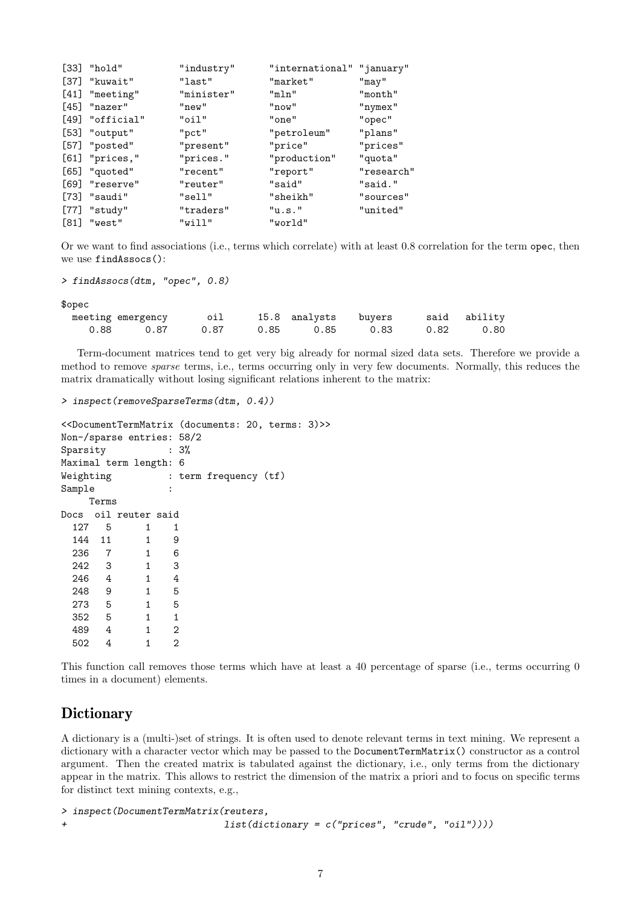| $[33]$ " $h$ old" | "industry" | "international" "january" |            |
|-------------------|------------|---------------------------|------------|
| [37] "kuwait"     | "last"     | "market"                  | "may"      |
| [41] "meeting"    | "minister" | "mln"                     | "month"    |
| [45] "nazer"      | "new"      | "now"                     | "nymex"    |
| [49] "official"   | "oil"      | "one"                     | "opec"     |
| $[53]$ "output"   | "pct"      | "petroleum"               | "plans"    |
| [57] "posted"     | "present"  | "price"                   | "prices"   |
| $[61]$ "prices,"  | "prices."  | "production"              | "quota"    |
| [65] "quoted"     | "recent"   | "report"                  | "research" |
| [69] "reserve"    | "reuter"   | "said"                    | "said."    |
| $[73]$ "saudi"    | "sell"     | "sheikh"                  | "sources"  |
| $[77]$ "study"    | "traders"  | "u.s."                    | "united"   |
| $[81]$ "west"     | "will"     | "world"                   |            |

Or we want to find associations (i.e., terms which correlate) with at least 0.8 correlation for the term opec, then we use findAssocs():

```
> findAssocs(dtm, "opec", 0.8)
```
\$opec

| meeting emergency                                | oil and the set of the set of the set of the set of the set of the set of the set of the set of the set of the | 15.8 analysts buyers |  | said ability |
|--------------------------------------------------|----------------------------------------------------------------------------------------------------------------|----------------------|--|--------------|
| $0.88$ $0.87$ $0.87$ $0.85$ $0.85$ $0.83$ $0.82$ |                                                                                                                |                      |  | 0.80         |

Term-document matrices tend to get very big already for normal sized data sets. Therefore we provide a method to remove sparse terms, i.e., terms occurring only in very few documents. Normally, this reduces the matrix dramatically without losing significant relations inherent to the matrix:

```
> inspect(removeSparseTerms(dtm, 0.4))
```

```
<<DocumentTermMatrix (documents: 20, terms: 3)>>
Non-/sparse entries: 58/2
Sparsity : 3%
Maximal term length: 6
Weighting : term frequency (tf)
Sample : the state of the state of the state of the state of the state of the state of the state of the state of the state of the state of the state of the state of the state of the state of the state of the state of the s
      Terms
Docs oil reuter said
  127 5 1 1
  144 11 1 9
  236 7 1 6
  242 3 1 3
  246 4 1 4
  248 9 1 5
  273 5 1 5
  352 5 1 1
  489 4 1 2
  502 4 1 2
```
This function call removes those terms which have at least a 40 percentage of sparse (i.e., terms occurring 0 times in a document) elements.

# **Dictionary**

A dictionary is a (multi-)set of strings. It is often used to denote relevant terms in text mining. We represent a dictionary with a character vector which may be passed to the DocumentTermMatrix() constructor as a control argument. Then the created matrix is tabulated against the dictionary, i.e., only terms from the dictionary appear in the matrix. This allows to restrict the dimension of the matrix a priori and to focus on specific terms for distinct text mining contexts, e.g.,

```
> inspect(DocumentTermMatrix(reuters,
```

```
+ list(dictionary = c("prices", "crude", "oil"))))
```